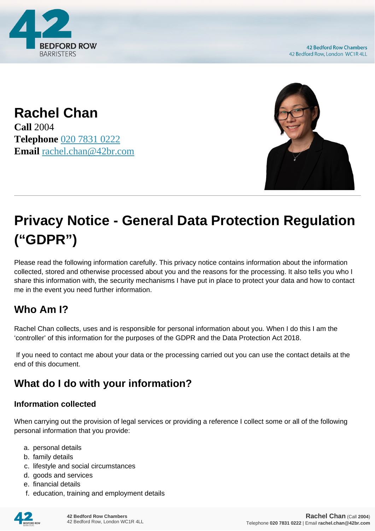

**42 Bedford Row Chambers** 42 Bedford Row, London WC1R 4LL

**Rachel Chan Call** 2004 **Telephone** [020 7831 0222](https://pdf.codeshore.co/_42br/tel:020 7831 0222) **Email** [rachel.chan@42br.com](mailto:rachel.chan@42br.com)



# **Privacy Notice - General Data Protection Regulation ("GDPR")**

Please read the following information carefully. This privacy notice contains information about the information collected, stored and otherwise processed about you and the reasons for the processing. It also tells you who I share this information with, the security mechanisms I have put in place to protect your data and how to contact me in the event you need further information.

# **Who Am I?**

Rachel Chan collects, uses and is responsible for personal information about you. When I do this I am the 'controller' of this information for the purposes of the GDPR and the Data Protection Act 2018.

 If you need to contact me about your data or the processing carried out you can use the contact details at the end of this document.

# **What do I do with your information?**

#### **Information collected**

When carrying out the provision of legal services or providing a reference I collect some or all of the following personal information that you provide:

- a. personal details
- b. family details
- c. lifestyle and social circumstances
- d. goods and services
- e. financial details
- f. education, training and employment details

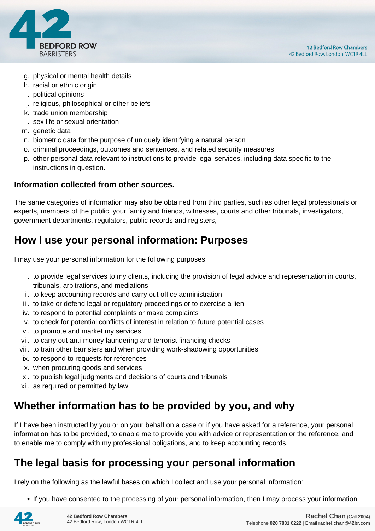

- g. physical or mental health details
- h. racial or ethnic origin
- i. political opinions
- j. religious, philosophical or other beliefs
- k. trade union membership
- l. sex life or sexual orientation
- m. genetic data
- n. biometric data for the purpose of uniquely identifying a natural person
- o. criminal proceedings, outcomes and sentences, and related security measures
- p. other personal data relevant to instructions to provide legal services, including data specific to the instructions in question.

#### **Information collected from other sources.**

The same categories of information may also be obtained from third parties, such as other legal professionals or experts, members of the public, your family and friends, witnesses, courts and other tribunals, investigators, government departments, regulators, public records and registers,

# **How I use your personal information: Purposes**

I may use your personal information for the following purposes:

- i. to provide legal services to my clients, including the provision of legal advice and representation in courts, tribunals, arbitrations, and mediations
- ii. to keep accounting records and carry out office administration
- iii. to take or defend legal or regulatory proceedings or to exercise a lien
- iv. to respond to potential complaints or make complaints
- v. to check for potential conflicts of interest in relation to future potential cases
- vi. to promote and market my services
- vii. to carry out anti-money laundering and terrorist financing checks
- viii. to train other barristers and when providing work-shadowing opportunities
- ix. to respond to requests for references
- x. when procuring goods and services
- xi. to publish legal judgments and decisions of courts and tribunals
- xii. as required or permitted by law.

# **Whether information has to be provided by you, and why**

If I have been instructed by you or on your behalf on a case or if you have asked for a reference, your personal information has to be provided, to enable me to provide you with advice or representation or the reference, and to enable me to comply with my professional obligations, and to keep accounting records.

# **The legal basis for processing your personal information**

I rely on the following as the lawful bases on which I collect and use your personal information:

• If you have consented to the processing of your personal information, then I may process your information

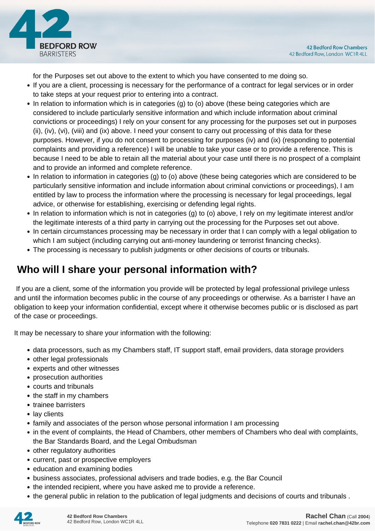

for the Purposes set out above to the extent to which you have consented to me doing so.

- If you are a client, processing is necessary for the performance of a contract for legal services or in order to take steps at your request prior to entering into a contract.
- In relation to information which is in categories (g) to (o) above (these being categories which are considered to include particularly sensitive information and which include information about criminal convictions or proceedings) I rely on your consent for any processing for the purposes set out in purposes (ii), (iv), (vi), (viii) and (ix) above. I need your consent to carry out processing of this data for these purposes. However, if you do not consent to processing for purposes (iv) and (ix) (responding to potential complaints and providing a reference) I will be unable to take your case or to provide a reference. This is because I need to be able to retain all the material about your case until there is no prospect of a complaint and to provide an informed and complete reference.
- In relation to information in categories (g) to (o) above (these being categories which are considered to be particularly sensitive information and include information about criminal convictions or proceedings), I am entitled by law to process the information where the processing is necessary for legal proceedings, legal advice, or otherwise for establishing, exercising or defending legal rights.
- In relation to information which is not in categories (g) to (o) above, I rely on my legitimate interest and/or the legitimate interests of a third party in carrying out the processing for the Purposes set out above.
- In certain circumstances processing may be necessary in order that I can comply with a legal obligation to which I am subject (including carrying out anti-money laundering or terrorist financing checks).
- The processing is necessary to publish judgments or other decisions of courts or tribunals.

# **Who will I share your personal information with?**

 If you are a client, some of the information you provide will be protected by legal professional privilege unless and until the information becomes public in the course of any proceedings or otherwise. As a barrister I have an obligation to keep your information confidential, except where it otherwise becomes public or is disclosed as part of the case or proceedings.

It may be necessary to share your information with the following:

- data processors, such as my Chambers staff, IT support staff, email providers, data storage providers
- other legal professionals
- experts and other witnesses
- prosecution authorities
- courts and tribunals
- the staff in my chambers
- trainee barristers
- lay clients
- family and associates of the person whose personal information I am processing
- in the event of complaints, the Head of Chambers, other members of Chambers who deal with complaints, the Bar Standards Board, and the Legal Ombudsman
- other regulatory authorities
- current, past or prospective employers
- education and examining bodies
- business associates, professional advisers and trade bodies, e.g. the Bar Council
- the intended recipient, where you have asked me to provide a reference.
- the general public in relation to the publication of legal judgments and decisions of courts and tribunals .

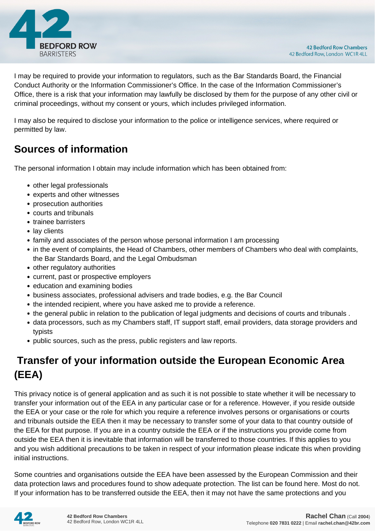

I may be required to provide your information to regulators, such as the Bar Standards Board, the Financial Conduct Authority or the Information Commissioner's Office. In the case of the Information Commissioner's Office, there is a risk that your information may lawfully be disclosed by them for the purpose of any other civil or criminal proceedings, without my consent or yours, which includes privileged information.

I may also be required to disclose your information to the police or intelligence services, where required or permitted by law.

# **Sources of information**

The personal information I obtain may include information which has been obtained from:

- other legal professionals
- experts and other witnesses
- prosecution authorities
- courts and tribunals
- trainee barristers
- lay clients
- family and associates of the person whose personal information I am processing
- in the event of complaints, the Head of Chambers, other members of Chambers who deal with complaints, the Bar Standards Board, and the Legal Ombudsman
- other regulatory authorities
- current, past or prospective employers
- education and examining bodies
- business associates, professional advisers and trade bodies, e.g. the Bar Council
- the intended recipient, where you have asked me to provide a reference.
- the general public in relation to the publication of legal judgments and decisions of courts and tribunals .
- data processors, such as my Chambers staff, IT support staff, email providers, data storage providers and typists
- public sources, such as the press, public registers and law reports.

# **Transfer of your information outside the European Economic Area (EEA)**

This privacy notice is of general application and as such it is not possible to state whether it will be necessary to transfer your information out of the EEA in any particular case or for a reference. However, if you reside outside the EEA or your case or the role for which you require a reference involves persons or organisations or courts and tribunals outside the EEA then it may be necessary to transfer some of your data to that country outside of the EEA for that purpose. If you are in a country outside the EEA or if the instructions you provide come from outside the EEA then it is inevitable that information will be transferred to those countries. If this applies to you and you wish additional precautions to be taken in respect of your information please indicate this when providing initial instructions.

Some countries and organisations outside the EEA have been assessed by the European Commission and their data protection laws and procedures found to show adequate protection. The list can be found here. Most do not. If your information has to be transferred outside the EEA, then it may not have the same protections and you

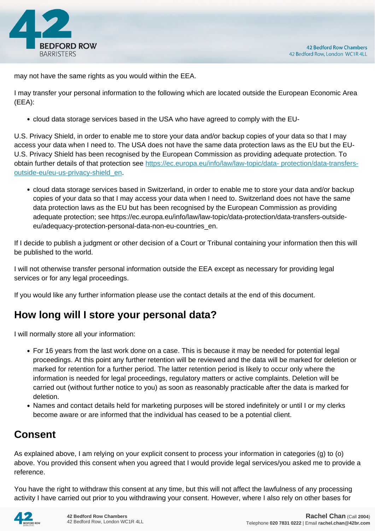

may not have the same rights as you would within the EEA.

I may transfer your personal information to the following which are located outside the European Economic Area (EEA):

cloud data storage services based in the USA who have agreed to comply with the EU-

U.S. Privacy Shield, in order to enable me to store your data and/or backup copies of your data so that I may access your data when I need to. The USA does not have the same data protection laws as the EU but the EU-U.S. Privacy Shield has been recognised by the European Commission as providing adequate protection. To obtain further details of that protection see [https://ec.europa.eu/info/law/law-topic/data- protection/data-transfers](https://ec.europa.eu/info/law/law-topic/data- protection/data-transfers-outside-eu/eu-us-privacy-shield_en)[outside-eu/eu-us-privacy-shield\\_en.](https://ec.europa.eu/info/law/law-topic/data- protection/data-transfers-outside-eu/eu-us-privacy-shield_en)

cloud data storage services based in Switzerland, in order to enable me to store your data and/or backup copies of your data so that I may access your data when I need to. Switzerland does not have the same data protection laws as the EU but has been recognised by the European Commission as providing adequate protection; see https://ec.europa.eu/info/law/law-topic/data-protection/data-transfers-outsideeu/adequacy-protection-personal-data-non-eu-countries\_en.

If I decide to publish a judgment or other decision of a Court or Tribunal containing your information then this will be published to the world.

I will not otherwise transfer personal information outside the EEA except as necessary for providing legal services or for any legal proceedings.

If you would like any further information please use the contact details at the end of this document.

# **How long will I store your personal data?**

I will normally store all your information:

- For 16 years from the last work done on a case. This is because it may be needed for potential legal proceedings. At this point any further retention will be reviewed and the data will be marked for deletion or marked for retention for a further period. The latter retention period is likely to occur only where the information is needed for legal proceedings, regulatory matters or active complaints. Deletion will be carried out (without further notice to you) as soon as reasonably practicable after the data is marked for deletion.
- Names and contact details held for marketing purposes will be stored indefinitely or until I or my clerks become aware or are informed that the individual has ceased to be a potential client.

# **Consent**

As explained above, I am relying on your explicit consent to process your information in categories (g) to (o) above. You provided this consent when you agreed that I would provide legal services/you asked me to provide a reference.

You have the right to withdraw this consent at any time, but this will not affect the lawfulness of any processing activity I have carried out prior to you withdrawing your consent. However, where I also rely on other bases for

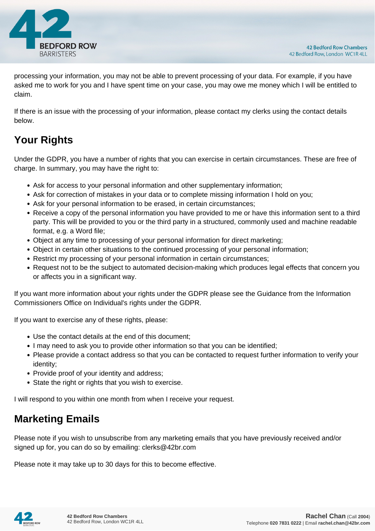

processing your information, you may not be able to prevent processing of your data. For example, if you have asked me to work for you and I have spent time on your case, you may owe me money which I will be entitled to claim.

If there is an issue with the processing of your information, please contact my clerks using the contact details below.

# **Your Rights**

Under the GDPR, you have a number of rights that you can exercise in certain circumstances. These are free of charge. In summary, you may have the right to:

- Ask for access to your personal information and other supplementary information;
- Ask for correction of mistakes in your data or to complete missing information I hold on you;
- Ask for your personal information to be erased, in certain circumstances;
- Receive a copy of the personal information you have provided to me or have this information sent to a third party. This will be provided to you or the third party in a structured, commonly used and machine readable format, e.g. a Word file;
- Object at any time to processing of your personal information for direct marketing;
- Object in certain other situations to the continued processing of your personal information;
- Restrict my processing of your personal information in certain circumstances;
- Request not to be the subject to automated decision-making which produces legal effects that concern you or affects you in a significant way.

If you want more information about your rights under the GDPR please see the Guidance from the Information Commissioners Office on Individual's rights under the GDPR.

If you want to exercise any of these rights, please:

- Use the contact details at the end of this document;
- I may need to ask you to provide other information so that you can be identified;
- Please provide a contact address so that you can be contacted to request further information to verify your identity;
- Provide proof of your identity and address;
- State the right or rights that you wish to exercise.

I will respond to you within one month from when I receive your request.

# **Marketing Emails**

Please note if you wish to unsubscribe from any marketing emails that you have previously received and/or signed up for, you can do so by emailing: clerks@42br.com

Please note it may take up to 30 days for this to become effective.